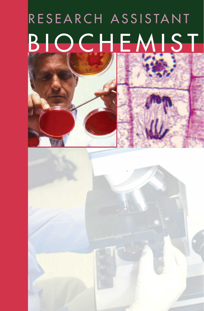# RESEARCH ASSISTANT BIOCHEMIST